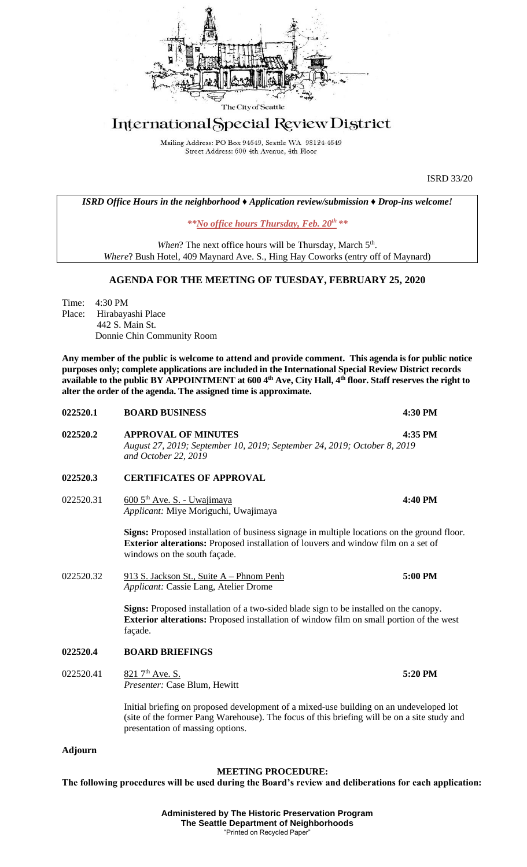

## International Special Review District

Mailing Address: PO Box 94649, Seattle WA 98124-4649 Street Address: 600 4th Avenue, 4th Floor

ISRD 33/20

*ISRD Office Hours in the neighborhood ♦ Application review/submission ♦ Drop-ins welcome!*

*\*\*No office hours Thursday, Feb. 20th \*\**

When? The next office hours will be Thursday, March 5<sup>th</sup>. *Where*? Bush Hotel, 409 Maynard Ave. S., Hing Hay Coworks (entry off of Maynard)

## **AGENDA FOR THE MEETING OF TUESDAY, FEBRUARY 25, 2020**

Time: 4:30 PM Place: Hirabayashi Place 442 S. Main St. Donnie Chin Community Room

**Any member of the public is welcome to attend and provide comment. This agenda is for public notice purposes only; complete applications are included in the International Special Review District records available to the public BY APPOINTMENT at 600 4th Ave, City Hall, 4th floor. Staff reserves the right to alter the order of the agenda. The assigned time is approximate.** 

| 022520.1  | <b>BOARD BUSINESS</b>                                                                                                                                                                                                     | 4:30 PM |
|-----------|---------------------------------------------------------------------------------------------------------------------------------------------------------------------------------------------------------------------------|---------|
| 022520.2  | <b>APPROVAL OF MINUTES</b><br>August 27, 2019; September 10, 2019; September 24, 2019; October 8, 2019<br>and October 22, 2019                                                                                            | 4:35 PM |
| 022520.3  | <b>CERTIFICATES OF APPROVAL</b>                                                                                                                                                                                           |         |
| 022520.31 | 600 5 <sup>th</sup> Ave. S. - Uwajimaya<br>Applicant: Miye Moriguchi, Uwajimaya                                                                                                                                           | 4:40 PM |
|           | Signs: Proposed installation of business signage in multiple locations on the ground floor.<br><b>Exterior alterations:</b> Proposed installation of louvers and window film on a set of<br>windows on the south façade.  |         |
| 022520.32 | 913 S. Jackson St., Suite A – Phnom Penh<br>Applicant: Cassie Lang, Atelier Drome                                                                                                                                         | 5:00 PM |
|           | Signs: Proposed installation of a two-sided blade sign to be installed on the canopy.<br><b>Exterior alterations:</b> Proposed installation of window film on small portion of the west<br>façade.                        |         |
| 022520.4  | <b>BOARD BRIEFINGS</b>                                                                                                                                                                                                    |         |
| 022520.41 | 821 7 <sup>th</sup> Ave. S.<br>Presenter: Case Blum, Hewitt                                                                                                                                                               | 5:20 PM |
|           | Initial briefing on proposed development of a mixed-use building on an undeveloped lot<br>(site of the former Pang Warehouse). The focus of this briefing will be on a site study and<br>presentation of massing options. |         |

## **Adjourn**

## **MEETING PROCEDURE:**

**The following procedures will be used during the Board's review and deliberations for each application:**